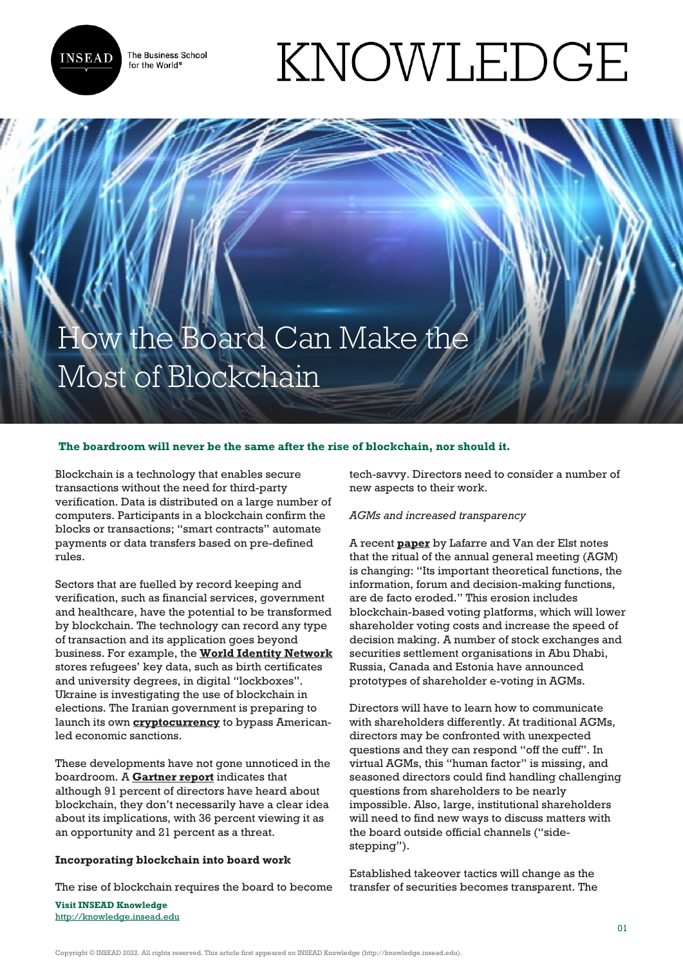

The Business School for the World<sup>®</sup>

# KNOWLEDGE

# How the Board Can Make the Most of Blockchain

#### **The boardroom will never be the same after the rise of blockchain, nor should it.**

Blockchain is a technology that enables secure transactions without the need for third-party verification. Data is distributed on a large number of computers. Participants in a blockchain confirm the blocks or transactions; "smart contracts" automate payments or data transfers based on pre-defined rules.

Sectors that are fuelled by record keeping and verification, such as financial services, government and healthcare, have the potential to be transformed by blockchain. The technology can record any type of transaction and its application goes beyond business. For example, the **[World Identity Network](https://win.systems/)** stores refugees' key data, such as birth certificates and university degrees, in digital "lockboxes". Ukraine is investigating the use of blockchain in elections. The Iranian government is preparing to launch its own **[cryptocurrency](https://news.bitcoin.com/the-iranian-government-is-preparing-to-launch-its-own-cryptocurrency/)** to bypass Americanled economic sanctions.

These developments have not gone unnoticed in the boardroom. A **[Gartner report](https://www.gartner.com/smarterwithgartner/what-to-tell-the-board-about-blockchain/)** indicates that although 91 percent of directors have heard about blockchain, they don't necessarily have a clear idea about its implications, with 36 percent viewing it as an opportunity and 21 percent as a threat.

#### **Incorporating blockchain into board work**

The rise of blockchain requires the board to become

**Visit INSEAD Knowledge** <http://knowledge.insead.edu> tech-savvy. Directors need to consider a number of new aspects to their work.

#### *AGMs and increased transparency*

A recent **[paper](https://ssrn.com/abstract=3135209)** by Lafarre and Van der Elst notes that the ritual of the annual general meeting (AGM) is changing: "Its important theoretical functions, the information, forum and decision-making functions, are de facto eroded." This erosion includes blockchain-based voting platforms, which will lower shareholder voting costs and increase the speed of decision making. A number of stock exchanges and securities settlement organisations in Abu Dhabi, Russia, Canada and Estonia have announced prototypes of shareholder e-voting in AGMs.

Directors will have to learn how to communicate with shareholders differently. At traditional AGMs, directors may be confronted with unexpected questions and they can respond "off the cuff". In virtual AGMs, this "human factor" is missing, and seasoned directors could find handling challenging questions from shareholders to be nearly impossible. Also, large, institutional shareholders will need to find new ways to discuss matters with the board outside official channels ("sidestepping").

Established takeover tactics will change as the transfer of securities becomes transparent. The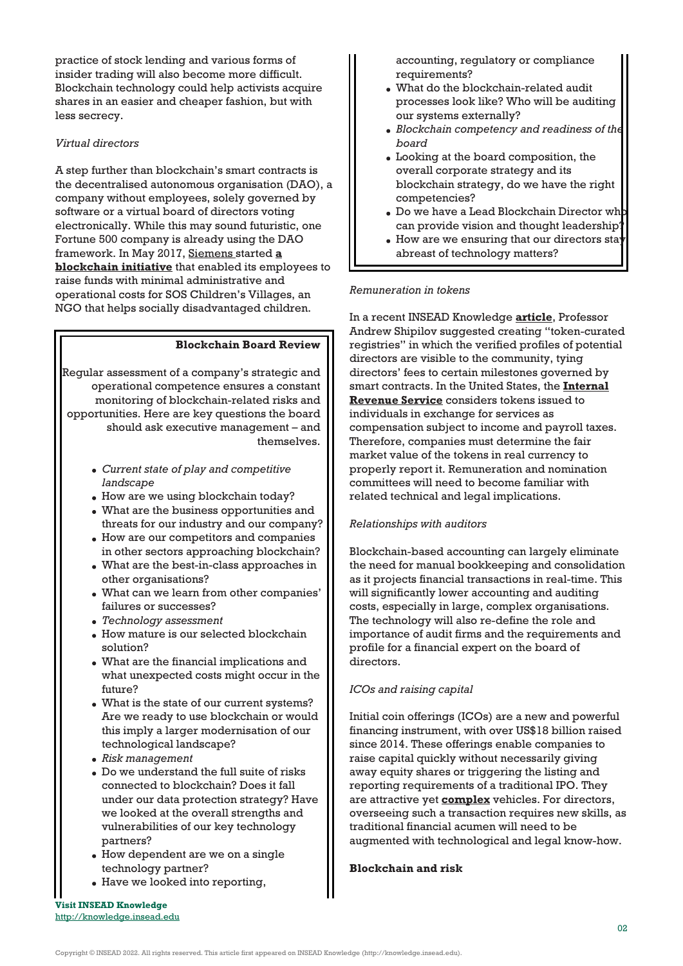practice of stock lending and various forms of insider trading will also become more difficult. Blockchain technology could help activists acquire shares in an easier and cheaper fashion, but with less secrecy.

## *Virtual directors*

A step further than blockchain's smart contracts is the decentralised autonomous organisation (DAO), a company without employees, solely governed by software or a virtual board of directors voting electronically. While this may sound futuristic, one Fortune 500 company is already using the DAO framework. In May 2017, [Siemens s](https://en.wikipedia.org/wiki/Siemens)tarted **[a](https://blog.slock.it/siemens-ddo-the-first-fortune-500-company-using-the-dao-framework-2fd970b0b138) [blockchain initiative](https://blog.slock.it/siemens-ddo-the-first-fortune-500-company-using-the-dao-framework-2fd970b0b138)** that enabled its employees to raise funds with minimal administrative and operational costs for SOS Children's Villages, an NGO that helps socially disadvantaged children.

#### **Blockchain Board Review**

Regular assessment of a company's strategic and operational competence ensures a constant monitoring of blockchain-related risks and opportunities. Here are key questions the board should ask executive management – and themselves.

- *Current state of play and competitive landscape*
- How are we using blockchain today?
- What are the business opportunities and threats for our industry and our company?
- How are our competitors and companies in other sectors approaching blockchain?
- What are the best-in-class approaches in other organisations?
- What can we learn from other companies' failures or successes?
- *Technology assessment*
- How mature is our selected blockchain solution?
- What are the financial implications and what unexpected costs might occur in the future?
- What is the state of our current systems? Are we ready to use blockchain or would this imply a larger modernisation of our technological landscape?
- *Risk management*
- Do we understand the full suite of risks connected to blockchain? Does it fall under our data protection strategy? Have we looked at the overall strengths and vulnerabilities of our key technology partners?
- How dependent are we on a single technology partner?
- Have we looked into reporting,

accounting, regulatory or compliance requirements?

- What do the blockchain-related audit processes look like? Who will be auditing our systems externally?
- *Blockchain competency and readiness of the board*
- Looking at the board composition, the overall corporate strategy and its blockchain strategy, do we have the right competencies?
- $\bullet$  Do we have a Lead Blockchain Director wh can provide vision and thought leadership?
- $\bullet$  How are we ensuring that our directors stay abreast of technology matters?

#### *Remuneration in tokens*

In a recent INSEAD Knowledge **[article](https://knowledge.insead.edu/blog/insead-blog/governance-needed-for-initial-coin-offerings-8556)**, Professor Andrew Shipilov suggested creating "token-curated registries" in which the verified profiles of potential directors are visible to the community, tying directors' fees to certain milestones governed by smart contracts. In the United States, the **[Internal](https://www.irs.gov/pub/irs-drop/n-14-21.pdf) [Revenue Service](https://www.irs.gov/pub/irs-drop/n-14-21.pdf)** considers tokens issued to individuals in exchange for services as compensation subject to income and payroll taxes. Therefore, companies must determine the fair market value of the tokens in real currency to properly report it. Remuneration and nomination committees will need to become familiar with related technical and legal implications.

#### *Relationships with auditors*

Blockchain-based accounting can largely eliminate the need for manual bookkeeping and consolidation as it projects financial transactions in real-time. This will significantly lower accounting and auditing costs, especially in large, complex organisations. The technology will also re-define the role and importance of audit firms and the requirements and profile for a financial expert on the board of directors.

#### *ICOs and raising capital*

Initial coin offerings (ICOs) are a new and powerful financing instrument, with over US\$18 billion raised since 2014. These offerings enable companies to raise capital quickly without necessarily giving away equity shares or triggering the listing and reporting requirements of a traditional IPO. They are attractive yet **[complex](https://knowledge.insead.edu/economics-finance/icos-and-financing-blockchain-projects-9341)** vehicles. For directors, overseeing such a transaction requires new skills, as traditional financial acumen will need to be augmented with technological and legal know-how.

#### **Blockchain and risk**

**Visit INSEAD Knowledge** <http://knowledge.insead.edu>